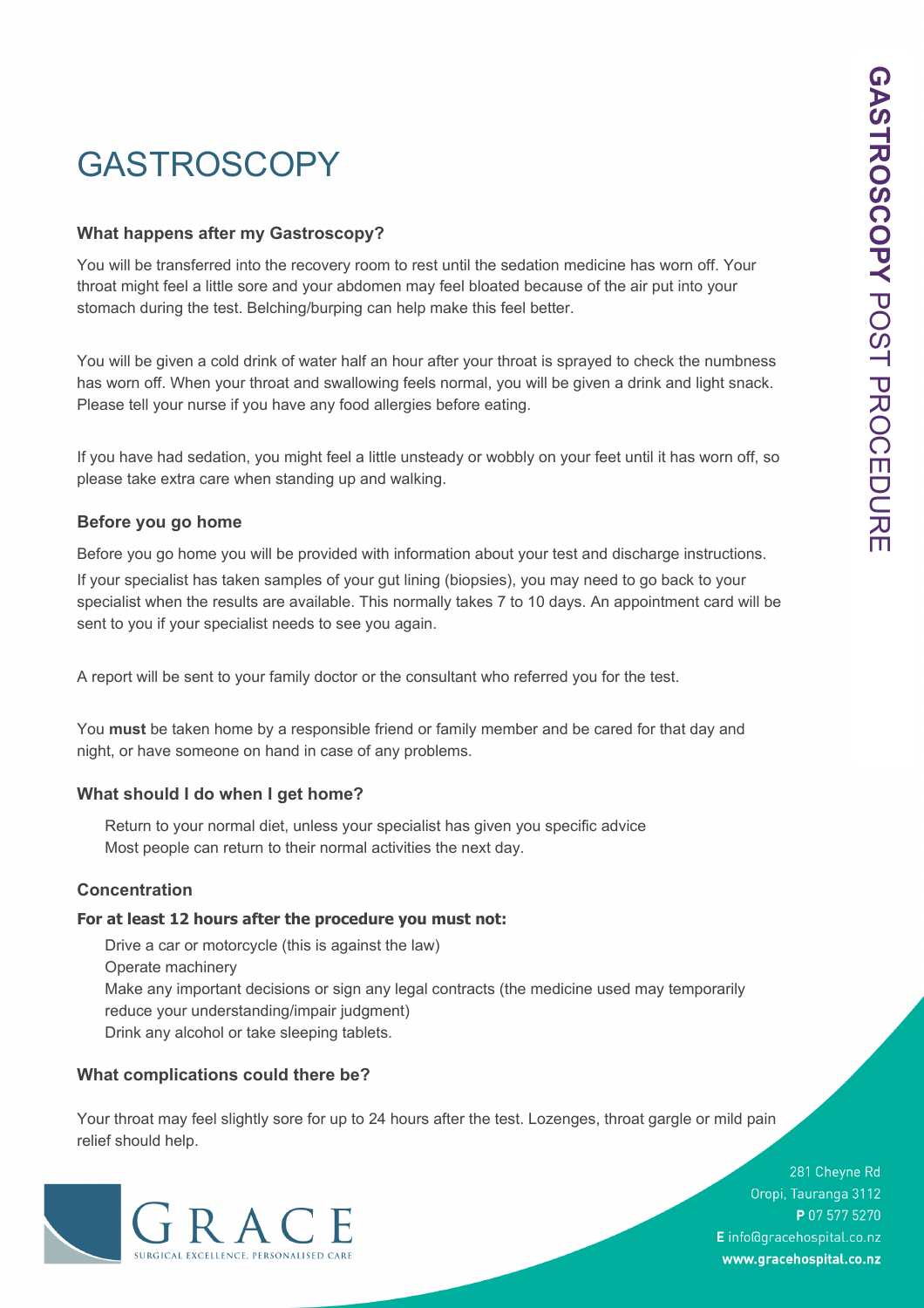# GASTROSCOPY

#### **What happens after my Gastroscopy?**

You will be transferred into the recovery room to rest until the sedation medicine has worn off. Your throat might feel a little sore and your abdomen may feel bloated because of the air put into your stomach during the test. Belching/burping can help make this feel better.

You will be given a cold drink of water half an hour after your throat is sprayed to check the numbness has worn off. When your throat and swallowing feels normal, you will be given a drink and light snack. Please tell your nurse if you have any food allergies before eating.

If you have had sedation, you might feel a little unsteady or wobbly on your feet until it has worn off, so please take extra care when standing up and walking.

## **Before you go home**

Before you go home you will be provided with information about your test and discharge instructions.

If your specialist has taken samples of your gut lining (biopsies), you may need to go back to your specialist when the results are available. This normally takes 7 to 10 days. An appointment card will be sent to you if your specialist needs to see you again.

A report will be sent to your family doctor or the consultant who referred you for the test.

You **must** be taken home by a responsible friend or family member and be cared for that day and night, or have someone on hand in case of any problems.

## **What should I do when I get home?**

Return to your normal diet, unless your specialist has given you specific advice Most people can return to their normal activities the next day.

#### **Concentration**

#### **For at least 12 hours after the procedure you must not:**

Drive a car or motorcycle (this is against the law) Operate machinery Make any important decisions or sign any legal contracts (the medicine used may temporarily reduce your understanding/impair judgment) Drink any alcohol or take sleeping tablets.

## **What complications could there be?**

Your throat may feel slightly sore for up to 24 hours after the test. Lozenges, throat gargle or mild pain relief should help.



281 Cheyne Rd Oropi, Tauranga 3112 P 07 577 5270 E info@gracehospital.co.nz www.gracehospital.co.nz